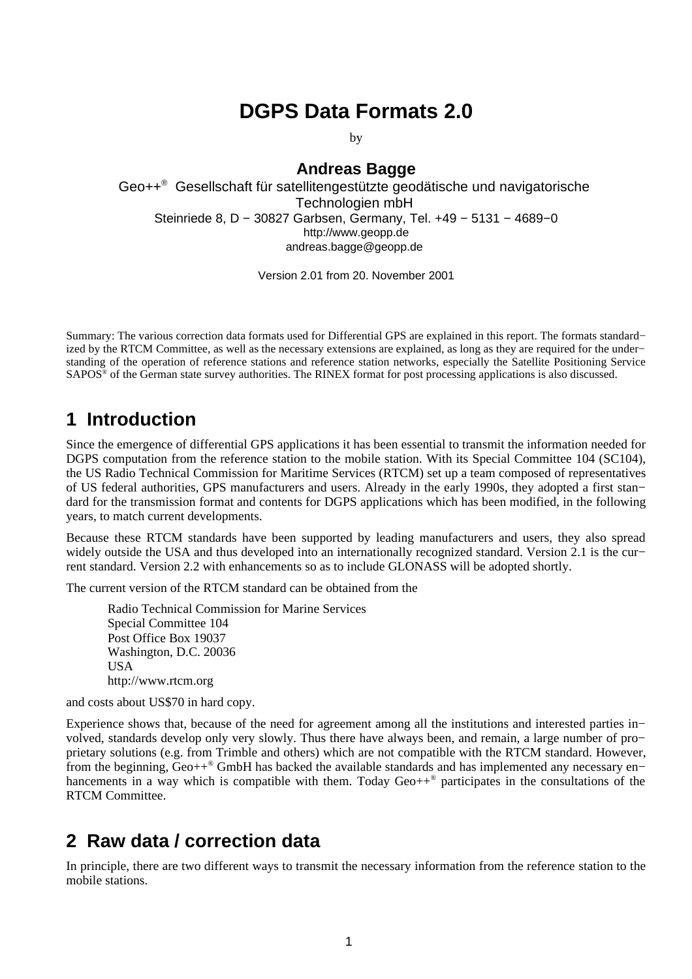## **DGPS Data Formats 2.0**

by

#### **Andreas Bagge**

Geo++ ® Gesellschaft für satellitengestützte geodätische und navigatorische Technologien mbH Steinriede 8, D − 30827 Garbsen, Germany, Tel. +49 − 5131 − 4689−0 http://www.geopp.de andreas.bagge@geopp.de

Version 2.01 from 20. November 2001

Summary: The various correction data formats used for Differential GPS are explained in this report. The formats standard− ized by the RTCM Committee, as well as the necessary extensions are explained, as long as they are required for the under− standing of the operation of reference stations and reference station networks, especially the Satellite Positioning Service SAPOS<sup>®</sup> of the German state survey authorities. The RINEX format for post processing applications is also discussed.

#### **1 Introduction**

Since the emergence of differential GPS applications it has been essential to transmit the information needed for DGPS computation from the reference station to the mobile station. With its Special Committee 104 (SC104), the US Radio Technical Commission for Maritime Services (RTCM) set up a team composed of representatives of US federal authorities, GPS manufacturers and users. Already in the early 1990s, they adopted a first stan− dard for the transmission format and contents for DGPS applications which has been modified, in the following years, to match current developments.

Because these RTCM standards have been supported by leading manufacturers and users, they also spread widely outside the USA and thus developed into an internationally recognized standard. Version 2.1 is the cur− rent standard. Version 2.2 with enhancements so as to include GLONASS will be adopted shortly.

The current version of the RTCM standard can be obtained from the

Radio Technical Commission for Marine Services Special Committee 104 Post Office Box 19037 Washington, D.C. 20036 USA http://www.rtcm.org

and costs about US\$70 in hard copy.

Experience shows that, because of the need for agreement among all the institutions and interested parties in− volved, standards develop only very slowly. Thus there have always been, and remain, a large number of pro− prietary solutions (e.g. from Trimble and others) which are not compatible with the RTCM standard. However, from the beginning, Geo++<sup>®</sup> GmbH has backed the available standards and has implemented any necessary en– hancements in a way which is compatible with them. Today Geo++<sup>®</sup> participates in the consultations of the RTCM Committee.

#### **2 Raw data / correction data**

In principle, there are two different ways to transmit the necessary information from the reference station to the mobile stations.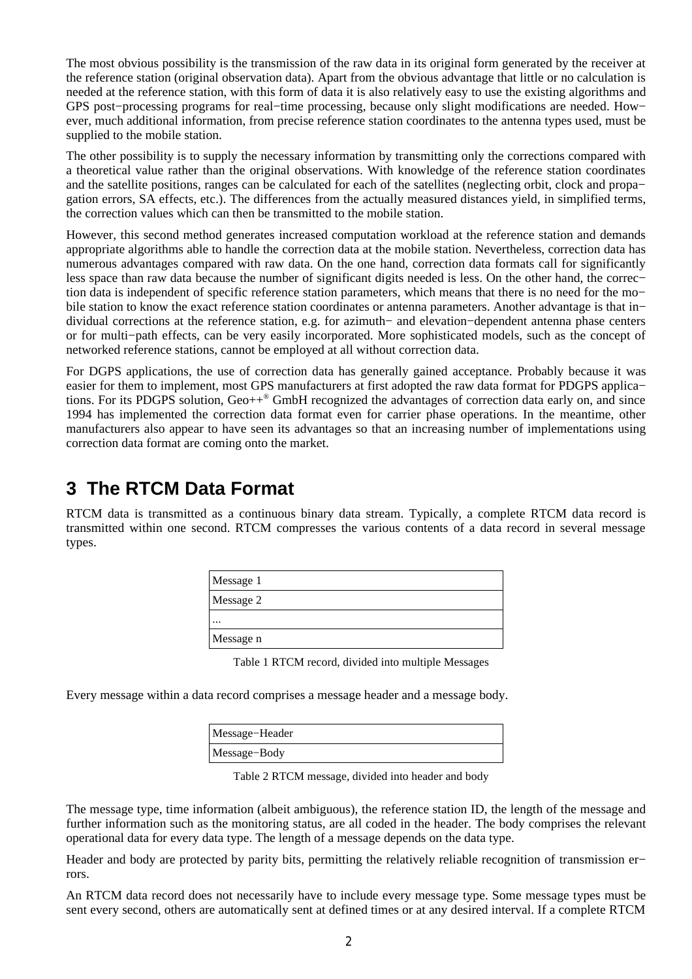The most obvious possibility is the transmission of the raw data in its original form generated by the receiver at the reference station (original observation data). Apart from the obvious advantage that little or no calculation is needed at the reference station, with this form of data it is also relatively easy to use the existing algorithms and GPS post−processing programs for real−time processing, because only slight modifications are needed. How− ever, much additional information, from precise reference station coordinates to the antenna types used, must be supplied to the mobile station.

The other possibility is to supply the necessary information by transmitting only the corrections compared with a theoretical value rather than the original observations. With knowledge of the reference station coordinates and the satellite positions, ranges can be calculated for each of the satellites (neglecting orbit, clock and propa− gation errors, SA effects, etc.). The differences from the actually measured distances yield, in simplified terms, the correction values which can then be transmitted to the mobile station.

However, this second method generates increased computation workload at the reference station and demands appropriate algorithms able to handle the correction data at the mobile station. Nevertheless, correction data has numerous advantages compared with raw data. On the one hand, correction data formats call for significantly less space than raw data because the number of significant digits needed is less. On the other hand, the correc− tion data is independent of specific reference station parameters, which means that there is no need for the mo− bile station to know the exact reference station coordinates or antenna parameters. Another advantage is that in− dividual corrections at the reference station, e.g. for azimuth− and elevation−dependent antenna phase centers or for multi−path effects, can be very easily incorporated. More sophisticated models, such as the concept of networked reference stations, cannot be employed at all without correction data.

For DGPS applications, the use of correction data has generally gained acceptance. Probably because it was easier for them to implement, most GPS manufacturers at first adopted the raw data format for PDGPS applica− tions. For its PDGPS solution, Geo++ ® GmbH recognized the advantages of correction data early on, and since 1994 has implemented the correction data format even for carrier phase operations. In the meantime, other manufacturers also appear to have seen its advantages so that an increasing number of implementations using correction data format are coming onto the market.

#### **3 The RTCM Data Format**

RTCM data is transmitted as a continuous binary data stream. Typically, a complete RTCM data record is transmitted within one second. RTCM compresses the various contents of a data record in several message types.

| Message 1 |  |
|-----------|--|
| Message 2 |  |
| $\cdots$  |  |
| Message n |  |

Table 1 RTCM record, divided into multiple Messages

Every message within a data record comprises a message header and a message body.

| Message-Header |  |
|----------------|--|
| Message-Body   |  |

Table 2 RTCM message, divided into header and body

The message type, time information (albeit ambiguous), the reference station ID, the length of the message and further information such as the monitoring status, are all coded in the header. The body comprises the relevant operational data for every data type. The length of a message depends on the data type.

Header and body are protected by parity bits, permitting the relatively reliable recognition of transmission er− rors.

An RTCM data record does not necessarily have to include every message type. Some message types must be sent every second, others are automatically sent at defined times or at any desired interval. If a complete RTCM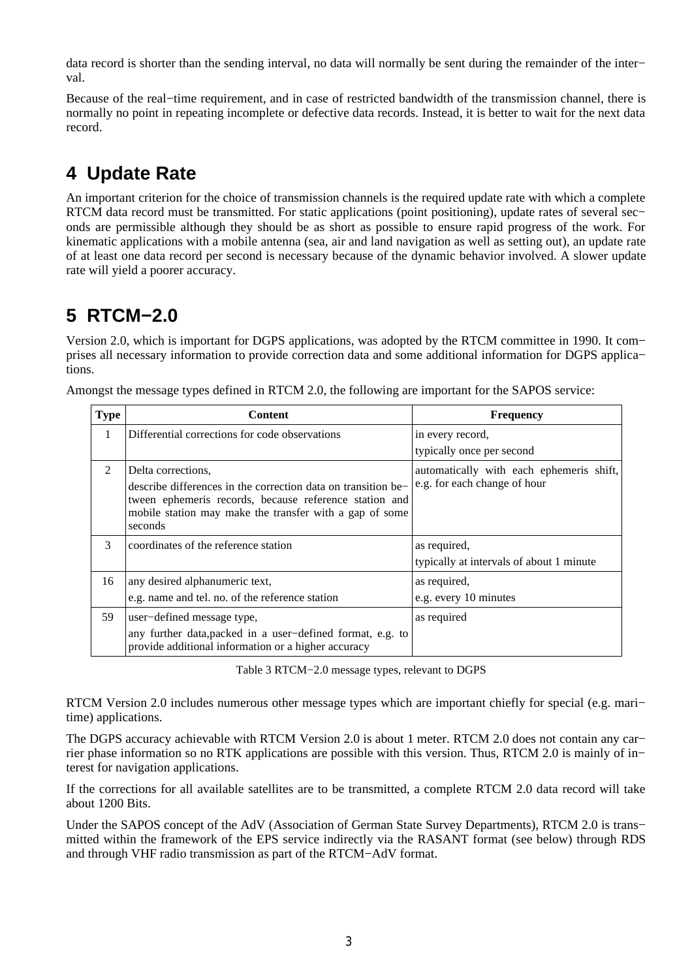data record is shorter than the sending interval, no data will normally be sent during the remainder of the inter− val.

Because of the real−time requirement, and in case of restricted bandwidth of the transmission channel, there is normally no point in repeating incomplete or defective data records. Instead, it is better to wait for the next data record.

# **4 Update Rate**

An important criterion for the choice of transmission channels is the required update rate with which a complete RTCM data record must be transmitted. For static applications (point positioning), update rates of several sec− onds are permissible although they should be as short as possible to ensure rapid progress of the work. For kinematic applications with a mobile antenna (sea, air and land navigation as well as setting out), an update rate of at least one data record per second is necessary because of the dynamic behavior involved. A slower update rate will yield a poorer accuracy.

## **5 RTCM−2.0**

Version 2.0, which is important for DGPS applications, was adopted by the RTCM committee in 1990. It com− prises all necessary information to provide correction data and some additional information for DGPS applica− tions.

| <b>Type</b>   | <b>Content</b>                                                                                                                                                                                | <b>Frequency</b>                         |
|---------------|-----------------------------------------------------------------------------------------------------------------------------------------------------------------------------------------------|------------------------------------------|
| 1             | Differential corrections for code observations                                                                                                                                                | in every record,                         |
|               |                                                                                                                                                                                               | typically once per second                |
| $\mathcal{P}$ | Delta corrections.                                                                                                                                                                            | automatically with each ephemeris shift, |
|               | describe differences in the correction data on transition be-<br>tween ephemeris records, because reference station and<br>mobile station may make the transfer with a gap of some<br>seconds | e.g. for each change of hour             |
| 3             | coordinates of the reference station                                                                                                                                                          | as required,                             |
|               |                                                                                                                                                                                               | typically at intervals of about 1 minute |
| 16            | any desired alphanumeric text,                                                                                                                                                                | as required,                             |
|               | e.g. name and tel. no. of the reference station                                                                                                                                               | e.g. every 10 minutes                    |
| 59            | user-defined message type,                                                                                                                                                                    | as required                              |
|               | any further data, packed in a user-defined format, e.g. to<br>provide additional information or a higher accuracy                                                                             |                                          |

Amongst the message types defined in RTCM 2.0, the following are important for the SAPOS service:

Table 3 RTCM−2.0 message types, relevant to DGPS

RTCM Version 2.0 includes numerous other message types which are important chiefly for special (e.g. mari– time) applications.

The DGPS accuracy achievable with RTCM Version 2.0 is about 1 meter. RTCM 2.0 does not contain any car− rier phase information so no RTK applications are possible with this version. Thus, RTCM 2.0 is mainly of in− terest for navigation applications.

If the corrections for all available satellites are to be transmitted, a complete RTCM 2.0 data record will take about 1200 Bits.

Under the SAPOS concept of the AdV (Association of German State Survey Departments), RTCM 2.0 is trans− mitted within the framework of the EPS service indirectly via the RASANT format (see below) through RDS and through VHF radio transmission as part of the RTCM−AdV format.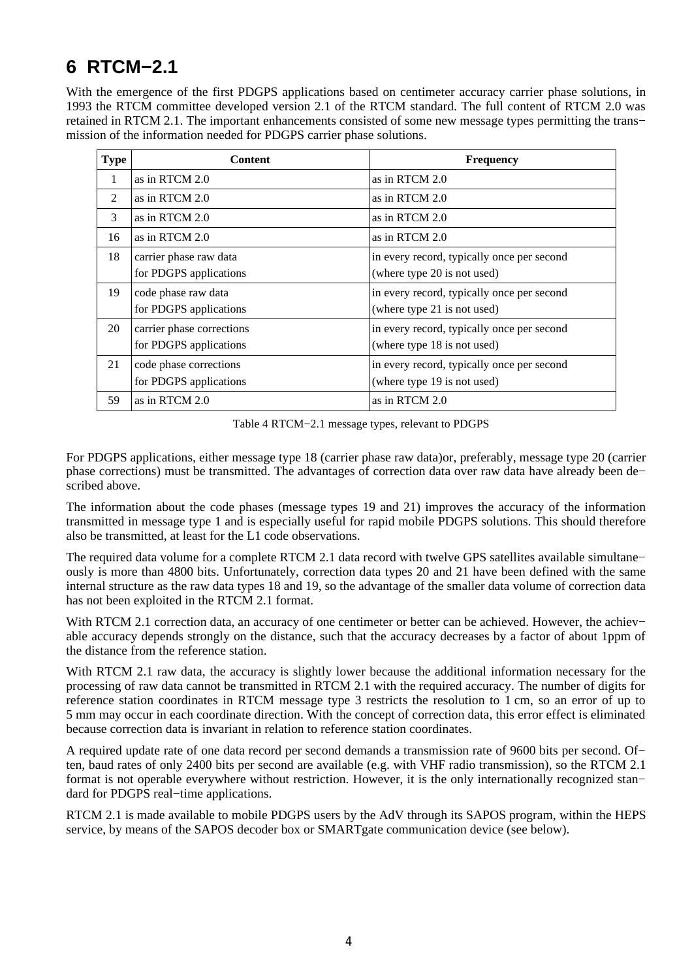## **6 RTCM−2.1**

With the emergence of the first PDGPS applications based on centimeter accuracy carrier phase solutions, in 1993 the RTCM committee developed version 2.1 of the RTCM standard. The full content of RTCM 2.0 was retained in RTCM 2.1. The important enhancements consisted of some new message types permitting the trans− mission of the information needed for PDGPS carrier phase solutions.

| Type          | Content                                             | Frequency                                                                 |
|---------------|-----------------------------------------------------|---------------------------------------------------------------------------|
| 1             | as in RTCM 2.0                                      | as in RTCM 2.0                                                            |
| $\mathcal{P}$ | as in RTCM 2.0                                      | as in RTCM 2.0                                                            |
| 3             | as in RTCM 2.0                                      | as in RTCM 2.0                                                            |
| 16            | as in RTCM 2.0                                      | as in RTCM 2.0                                                            |
| 18            | carrier phase raw data<br>for PDGPS applications    | in every record, typically once per second<br>(where type 20 is not used) |
| 19            | code phase raw data<br>for PDGPS applications       | in every record, typically once per second<br>(where type 21 is not used) |
| 20            | carrier phase corrections<br>for PDGPS applications | in every record, typically once per second<br>(where type 18 is not used) |
| 21            | code phase corrections<br>for PDGPS applications    | in every record, typically once per second<br>(where type 19 is not used) |
| 59            | as in RTCM 2.0                                      | as in RTCM 2.0                                                            |

Table 4 RTCM−2.1 message types, relevant to PDGPS

For PDGPS applications, either message type 18 (carrier phase raw data)or, preferably, message type 20 (carrier phase corrections) must be transmitted. The advantages of correction data over raw data have already been de− scribed above.

The information about the code phases (message types 19 and 21) improves the accuracy of the information transmitted in message type 1 and is especially useful for rapid mobile PDGPS solutions. This should therefore also be transmitted, at least for the L1 code observations.

The required data volume for a complete RTCM 2.1 data record with twelve GPS satellites available simultane− ously is more than 4800 bits. Unfortunately, correction data types 20 and 21 have been defined with the same internal structure as the raw data types 18 and 19, so the advantage of the smaller data volume of correction data has not been exploited in the RTCM 2.1 format.

With RTCM 2.1 correction data, an accuracy of one centimeter or better can be achieved. However, the achiev− able accuracy depends strongly on the distance, such that the accuracy decreases by a factor of about 1ppm of the distance from the reference station.

With RTCM 2.1 raw data, the accuracy is slightly lower because the additional information necessary for the processing of raw data cannot be transmitted in RTCM 2.1 with the required accuracy. The number of digits for reference station coordinates in RTCM message type 3 restricts the resolution to 1 cm, so an error of up to 5 mm may occur in each coordinate direction. With the concept of correction data, this error effect is eliminated because correction data is invariant in relation to reference station coordinates.

A required update rate of one data record per second demands a transmission rate of 9600 bits per second. Of− ten, baud rates of only 2400 bits per second are available (e.g. with VHF radio transmission), so the RTCM 2.1 format is not operable everywhere without restriction. However, it is the only internationally recognized stan− dard for PDGPS real−time applications.

RTCM 2.1 is made available to mobile PDGPS users by the AdV through its SAPOS program, within the HEPS service, by means of the SAPOS decoder box or SMARTgate communication device (see below).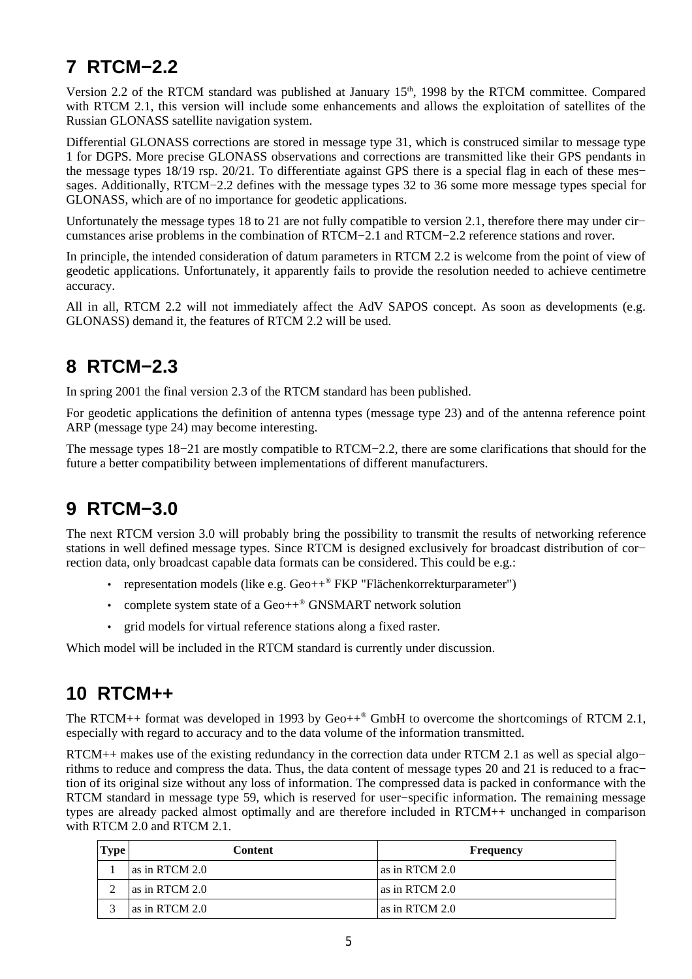# **7 RTCM−2.2**

Version 2.2 of the RTCM standard was published at January 15<sup>th</sup>, 1998 by the RTCM committee. Compared with RTCM 2.1, this version will include some enhancements and allows the exploitation of satellites of the Russian GLONASS satellite navigation system.

Differential GLONASS corrections are stored in message type 31, which is construced similar to message type 1 for DGPS. More precise GLONASS observations and corrections are transmitted like their GPS pendants in the message types 18/19 rsp. 20/21. To differentiate against GPS there is a special flag in each of these mes− sages. Additionally, RTCM−2.2 defines with the message types 32 to 36 some more message types special for GLONASS, which are of no importance for geodetic applications.

Unfortunately the message types 18 to 21 are not fully compatible to version 2.1, therefore there may under cir− cumstances arise problems in the combination of RTCM−2.1 and RTCM−2.2 reference stations and rover.

In principle, the intended consideration of datum parameters in RTCM 2.2 is welcome from the point of view of geodetic applications. Unfortunately, it apparently fails to provide the resolution needed to achieve centimetre accuracy.

All in all. RTCM 2.2 will not immediately affect the AdV SAPOS concept. As soon as developments (e.g. GLONASS) demand it, the features of RTCM 2.2 will be used.

#### **8 RTCM−2.3**

In spring 2001 the final version 2.3 of the RTCM standard has been published.

For geodetic applications the definition of antenna types (message type 23) and of the antenna reference point ARP (message type 24) may become interesting.

The message types 18−21 are mostly compatible to RTCM−2.2, there are some clarifications that should for the future a better compatibility between implementations of different manufacturers.

## **9 RTCM−3.0**

The next RTCM version 3.0 will probably bring the possibility to transmit the results of networking reference stations in well defined message types. Since RTCM is designed exclusively for broadcast distribution of cor− rection data, only broadcast capable data formats can be considered. This could be e.g.:

- representation models (like e.g. Geo++® FKP "Flächenkorrekturparameter")
- complete system state of a Geo++<sup>®</sup> GNSMART network solution
- grid models for virtual reference stations along a fixed raster.

Which model will be included in the RTCM standard is currently under discussion.

#### **10 RTCM++**

The RTCM++ format was developed in 1993 by Geo++ ® GmbH to overcome the shortcomings of RTCM 2.1, especially with regard to accuracy and to the data volume of the information transmitted.

RTCM++ makes use of the existing redundancy in the correction data under RTCM 2.1 as well as special algo− rithms to reduce and compress the data. Thus, the data content of message types 20 and 21 is reduced to a frac− tion of its original size without any loss of information. The compressed data is packed in conformance with the RTCM standard in message type 59, which is reserved for user−specific information. The remaining message types are already packed almost optimally and are therefore included in RTCM++ unchanged in comparison with RTCM 2.0 and RTCM 2.1.

| ype | Content        | Frequency        |
|-----|----------------|------------------|
|     | as in RTCM 2.0 | l as in RTCM 2.0 |
|     | as in RTCM 2.0 | l as in RTCM 2.0 |
|     | as in RTCM 2.0 | l as in RTCM 2.0 |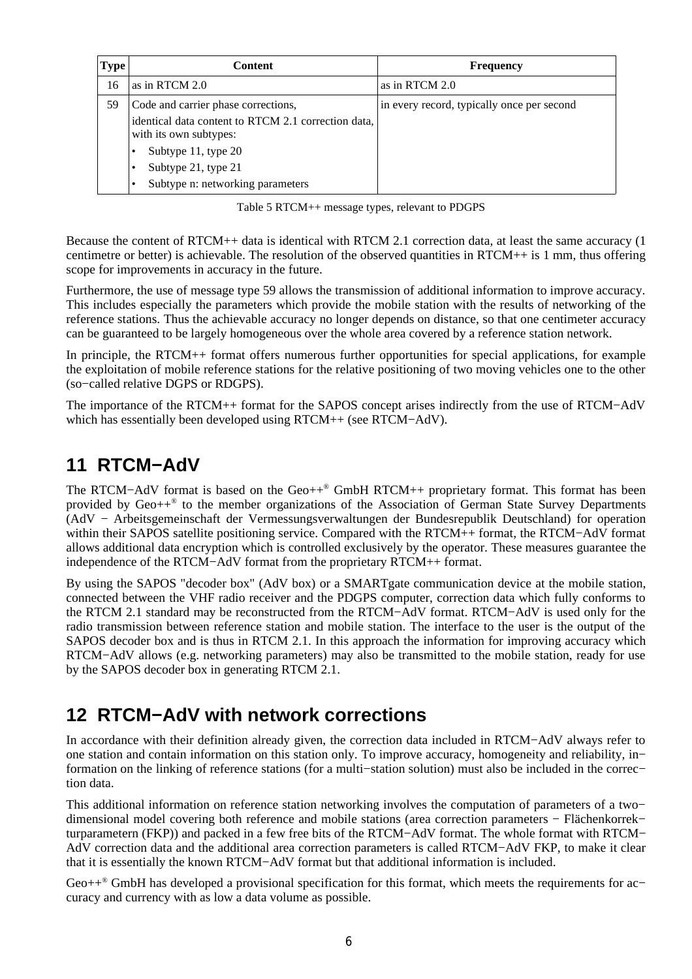| I ype | Content                                                                       | Frequency                                  |
|-------|-------------------------------------------------------------------------------|--------------------------------------------|
| 16    | as in RTCM 2.0                                                                | as in RTCM 2.0                             |
| 59    | Code and carrier phase corrections,                                           | in every record, typically once per second |
|       | identical data content to RTCM 2.1 correction data,<br>with its own subtypes: |                                            |
|       | Subtype 11, type 20                                                           |                                            |
|       | Subtype 21, type 21                                                           |                                            |
|       | Subtype n: networking parameters                                              |                                            |

Table 5 RTCM++ message types, relevant to PDGPS

Because the content of RTCM++ data is identical with RTCM 2.1 correction data, at least the same accuracy (1 centimetre or better) is achievable. The resolution of the observed quantities in RTCM++ is 1 mm, thus offering scope for improvements in accuracy in the future.

Furthermore, the use of message type 59 allows the transmission of additional information to improve accuracy. This includes especially the parameters which provide the mobile station with the results of networking of the reference stations. Thus the achievable accuracy no longer depends on distance, so that one centimeter accuracy can be guaranteed to be largely homogeneous over the whole area covered by a reference station network.

In principle, the RTCM++ format offers numerous further opportunities for special applications, for example the exploitation of mobile reference stations for the relative positioning of two moving vehicles one to the other (so−called relative DGPS or RDGPS).

The importance of the RTCM++ format for the SAPOS concept arises indirectly from the use of RTCM−AdV which has essentially been developed using RTCM++ (see RTCM−AdV).

## **11 RTCM−AdV**

The RTCM−AdV format is based on the Geo++ ® GmbH RTCM++ proprietary format. This format has been provided by Geo++<sup>®</sup> to the member organizations of the Association of German State Survey Departments (AdV − Arbeitsgemeinschaft der Vermessungsverwaltungen der Bundesrepublik Deutschland) for operation within their SAPOS satellite positioning service. Compared with the RTCM++ format, the RTCM−AdV format allows additional data encryption which is controlled exclusively by the operator. These measures guarantee the independence of the RTCM−AdV format from the proprietary RTCM++ format.

By using the SAPOS "decoder box" (AdV box) or a SMARTgate communication device at the mobile station, connected between the VHF radio receiver and the PDGPS computer, correction data which fully conforms to the RTCM 2.1 standard may be reconstructed from the RTCM−AdV format. RTCM−AdV is used only for the radio transmission between reference station and mobile station. The interface to the user is the output of the SAPOS decoder box and is thus in RTCM 2.1. In this approach the information for improving accuracy which RTCM−AdV allows (e.g. networking parameters) may also be transmitted to the mobile station, ready for use by the SAPOS decoder box in generating RTCM 2.1.

#### **12 RTCM−AdV with network corrections**

In accordance with their definition already given, the correction data included in RTCM−AdV always refer to one station and contain information on this station only. To improve accuracy, homogeneity and reliability, in− formation on the linking of reference stations (for a multi−station solution) must also be included in the correc− tion data.

This additional information on reference station networking involves the computation of parameters of a two− dimensional model covering both reference and mobile stations (area correction parameters − Flächenkorrek− turparametern (FKP)) and packed in a few free bits of the RTCM−AdV format. The whole format with RTCM− AdV correction data and the additional area correction parameters is called RTCM−AdV FKP, to make it clear that it is essentially the known RTCM−AdV format but that additional information is included.

Geo++<sup>®</sup> GmbH has developed a provisional specification for this format, which meets the requirements for ac– curacy and currency with as low a data volume as possible.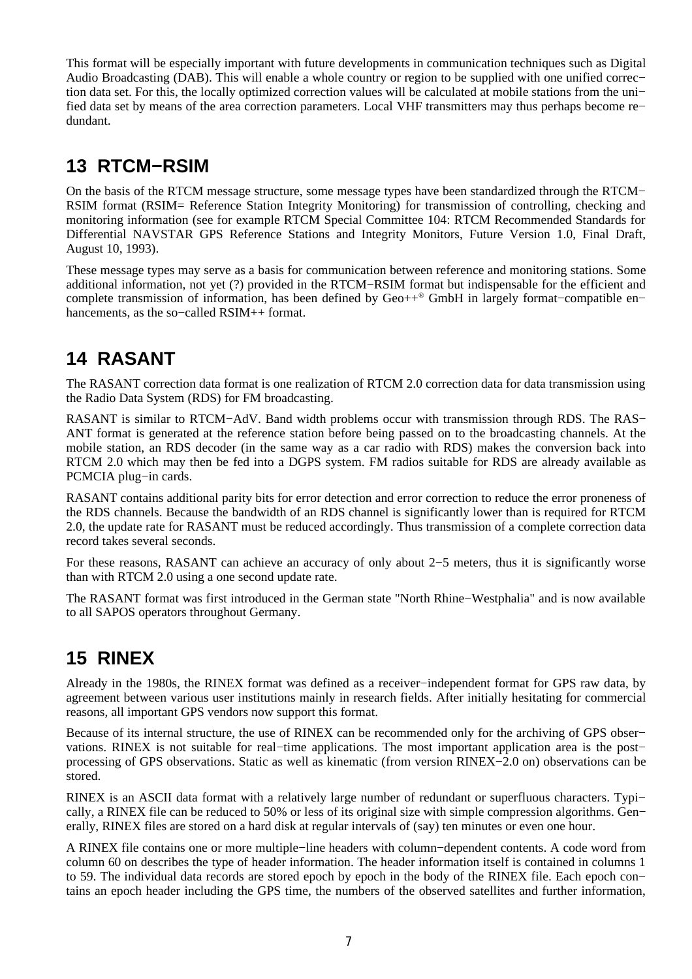This format will be especially important with future developments in communication techniques such as Digital Audio Broadcasting (DAB). This will enable a whole country or region to be supplied with one unified correc− tion data set. For this, the locally optimized correction values will be calculated at mobile stations from the uni− fied data set by means of the area correction parameters. Local VHF transmitters may thus perhaps become re− dundant.

#### **13 RTCM−RSIM**

On the basis of the RTCM message structure, some message types have been standardized through the RTCM− RSIM format (RSIM= Reference Station Integrity Monitoring) for transmission of controlling, checking and monitoring information (see for example RTCM Special Committee 104: RTCM Recommended Standards for Differential NAVSTAR GPS Reference Stations and Integrity Monitors, Future Version 1.0, Final Draft, August 10, 1993).

These message types may serve as a basis for communication between reference and monitoring stations. Some additional information, not yet (?) provided in the RTCM−RSIM format but indispensable for the efficient and complete transmission of information, has been defined by Geo++ ® GmbH in largely format−compatible en− hancements, as the so−called RSIM++ format.

## **14 RASANT**

The RASANT correction data format is one realization of RTCM 2.0 correction data for data transmission using the Radio Data System (RDS) for FM broadcasting.

RASANT is similar to RTCM−AdV. Band width problems occur with transmission through RDS. The RAS− ANT format is generated at the reference station before being passed on to the broadcasting channels. At the mobile station, an RDS decoder (in the same way as a car radio with RDS) makes the conversion back into RTCM 2.0 which may then be fed into a DGPS system. FM radios suitable for RDS are already available as PCMCIA plug−in cards.

RASANT contains additional parity bits for error detection and error correction to reduce the error proneness of the RDS channels. Because the bandwidth of an RDS channel is significantly lower than is required for RTCM 2.0, the update rate for RASANT must be reduced accordingly. Thus transmission of a complete correction data record takes several seconds.

For these reasons, RASANT can achieve an accuracy of only about 2−5 meters, thus it is significantly worse than with RTCM 2.0 using a one second update rate.

The RASANT format was first introduced in the German state "North Rhine−Westphalia" and is now available to all SAPOS operators throughout Germany.

## **15 RINEX**

Already in the 1980s, the RINEX format was defined as a receiver−independent format for GPS raw data, by agreement between various user institutions mainly in research fields. After initially hesitating for commercial reasons, all important GPS vendors now support this format.

Because of its internal structure, the use of RINEX can be recommended only for the archiving of GPS obser− vations. RINEX is not suitable for real−time applications. The most important application area is the post− processing of GPS observations. Static as well as kinematic (from version RINEX−2.0 on) observations can be stored.

RINEX is an ASCII data format with a relatively large number of redundant or superfluous characters. Typi– cally, a RINEX file can be reduced to 50% or less of its original size with simple compression algorithms. Gen− erally, RINEX files are stored on a hard disk at regular intervals of (say) ten minutes or even one hour.

A RINEX file contains one or more multiple−line headers with column−dependent contents. A code word from column 60 on describes the type of header information. The header information itself is contained in columns 1 to 59. The individual data records are stored epoch by epoch in the body of the RINEX file. Each epoch con− tains an epoch header including the GPS time, the numbers of the observed satellites and further information,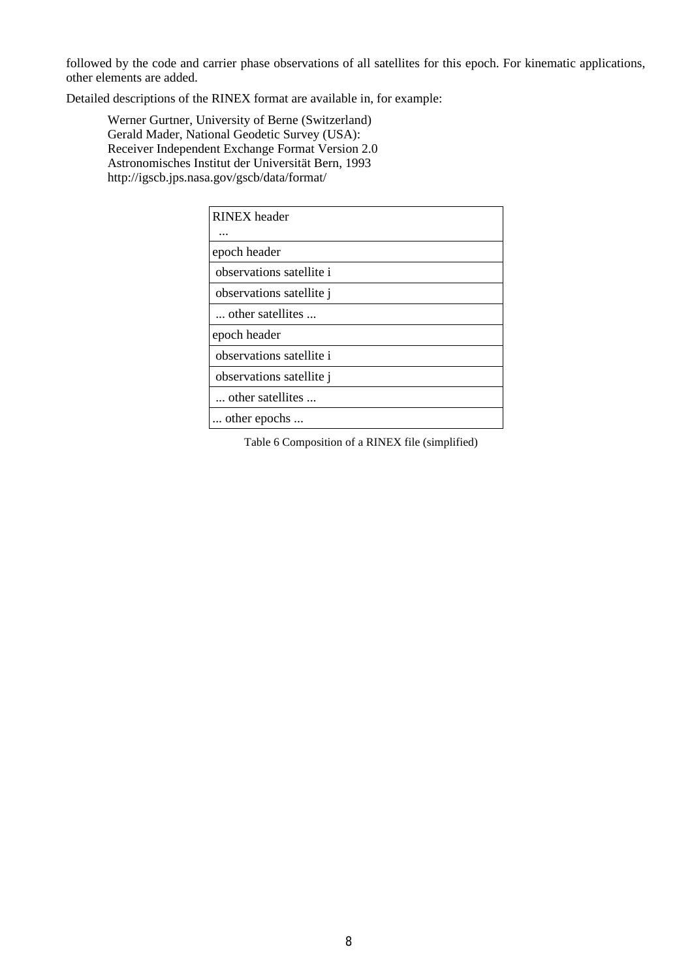followed by the code and carrier phase observations of all satellites for this epoch. For kinematic applications, other elements are added.

Detailed descriptions of the RINEX format are available in, for example:

Werner Gurtner, University of Berne (Switzerland) Gerald Mader, National Geodetic Survey (USA): Receiver Independent Exchange Format Version 2.0 Astronomisches Institut der Universität Bern, 1993 http://igscb.jps.nasa.gov/gscb/data/format/

| <b>RINEX</b> header      |
|--------------------------|
| .                        |
| epoch header             |
| observations satellite i |
| observations satellite j |
| other satellites         |
| epoch header             |
| observations satellite i |
| observations satellite j |
| other satellites         |
| other epochs             |

Table 6 Composition of a RINEX file (simplified)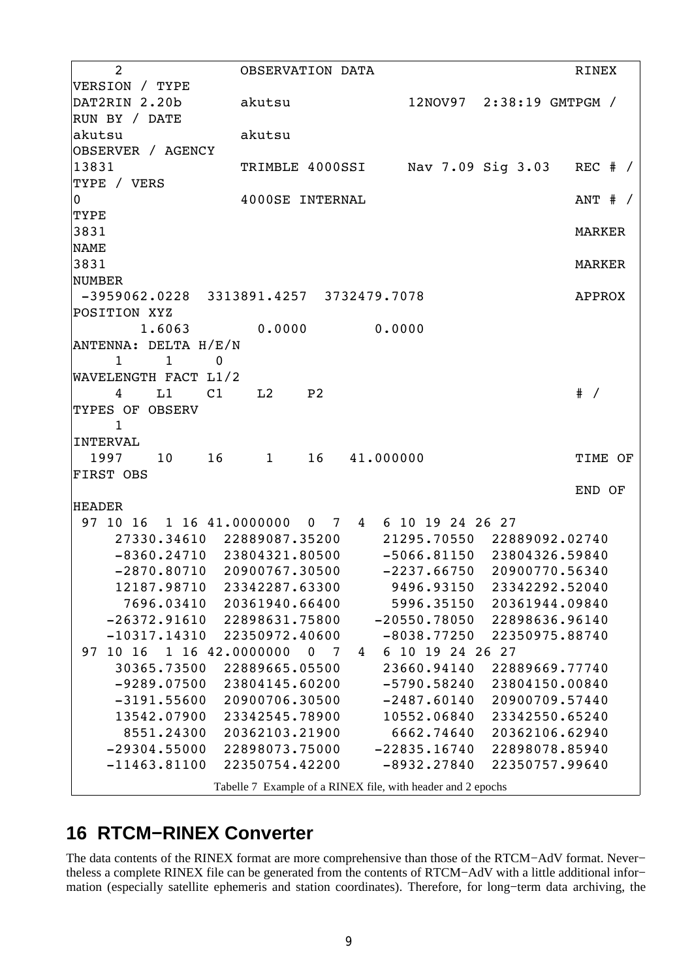2 OBSERVATION DATA 2 RINEX VERSION / TYPE DAT2RIN 2.20b akutsu 12NOV97 2:38:19 GMTPGM / RUN BY / DATE akutsu akutsu OBSERVER / AGENCY 13831 TRIMBLE 4000SSI Nav 7.09 Sig 3.03 REC # / TYPE / VERS 0 4000SE INTERNAL ANT # / TYPE 3831 MARKER NAME 3831 MARKER NUMBER -3959062.0228 3313891.4257 3732479.7078 APPROX POSITION XYZ 1.6063 0.0000 0.0000 ANTENNA: DELTA H/E/N 1 1 0 WAVELENGTH FACT L1/2 4 L1 C1 L2 P2 # / TYPES OF OBSERV 1 INTERVAL 1997 10 16 1 16 41.000000 TIME OF FIRST OBS END OF HEADER 97 10 16 1 16 41.0000000 0 7 4 6 10 19 24 26 27 27330.34610 22889087.35200 21295.70550 22889092.02740 -8360.24710 23804321.80500 -5066.81150 23804326.59840 -2870.80710 20900767.30500 -2237.66750 20900770.56340 12187.98710 23342287.63300 9496.93150 23342292.52040 7696.03410 20361940.66400 5996.35150 20361944.09840 -26372.91610 22898631.75800 -20550.78050 22898636.96140 -10317.14310 22350972.40600 -8038.77250 22350975.88740 97 10 16 1 16 42.0000000 0 7 4 6 10 19 24 26 27 30365.73500 22889665.05500 23660.94140 22889669.77740 -9289.07500 23804145.60200 -5790.58240 23804150.00840 -3191.55600 20900706.30500 -2487.60140 20900709.57440 13542.07900 23342545.78900 10552.06840 23342550.65240 8551.24300 20362103.21900 6662.74640 20362106.62940 -29304.55000 22898073.75000 -22835.16740 22898078.85940 -11463.81100 22350754.42200 -8932.27840 22350757.99640 Tabelle 7 Example of a RINEX file, with header and 2 epochs

#### **16 RTCM−RINEX Converter**

The data contents of the RINEX format are more comprehensive than those of the RTCM−AdV format. Never− theless a complete RINEX file can be generated from the contents of RTCM−AdV with a little additional infor− mation (especially satellite ephemeris and station coordinates). Therefore, for long−term data archiving, the